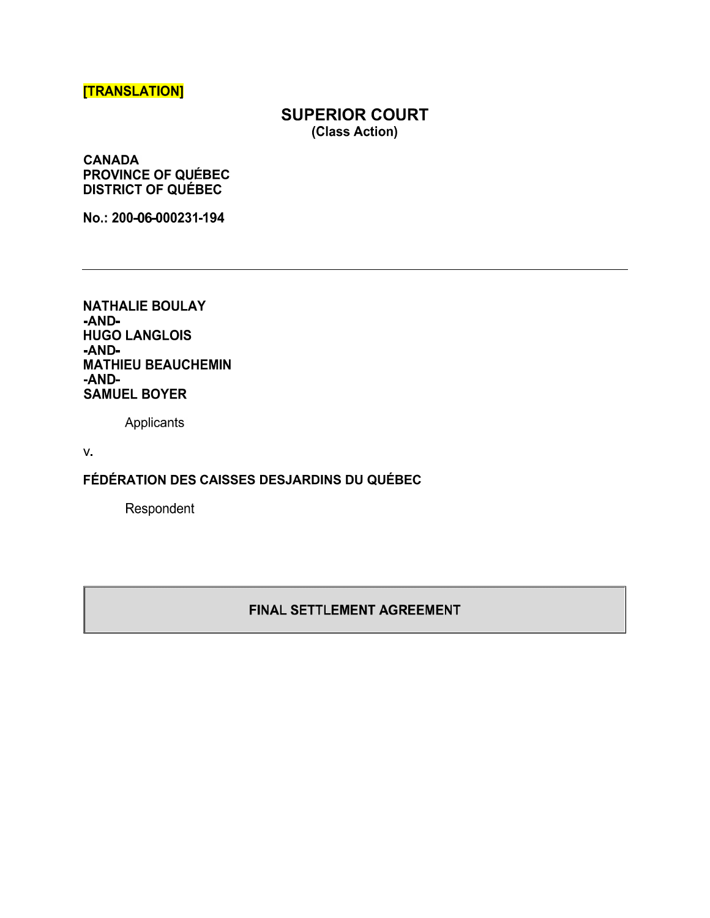# [TRANSLATION]

# SUPERIOR COURT (Class Action)

CANADA PROVINCE OF QUÉBEC DISTRICT OF QUÉBEC

No.: 200-06-000231-194

NATHALIE BOULAY -AND-. HUGO LANGLOIS -AND-. MATHIEU BEAUCHEMIN -AND-. SAMUEL BOYER

Applicants

V.

FÉDÉRATION DES CAISSES DESJARDINS DU QUÉBEC

Respondent

### FINAL SETTLEMENT AGREEMENT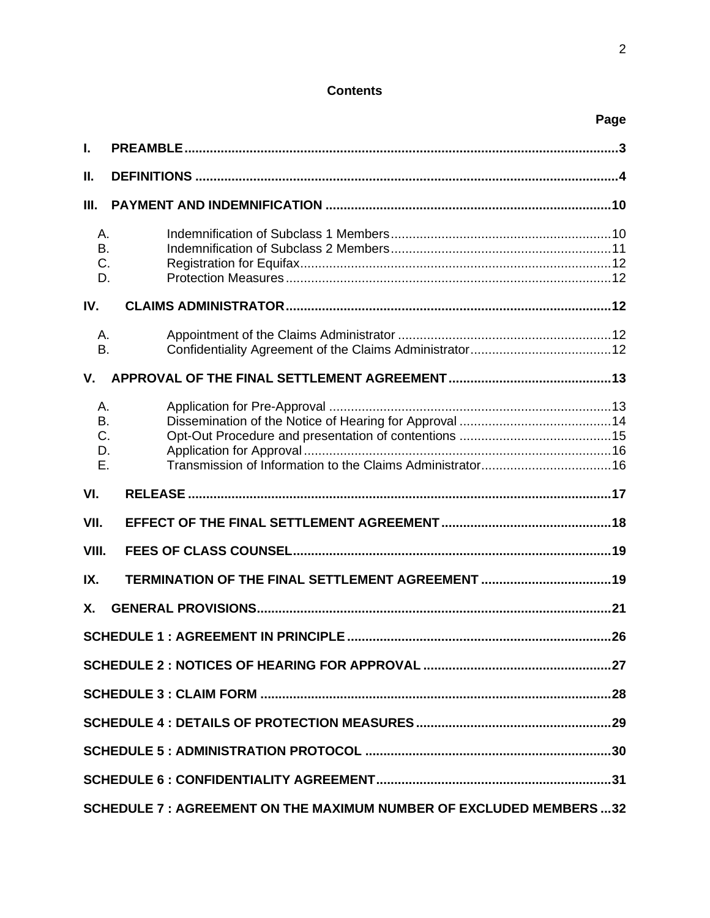# **Contents**

| I.                          |                                                  |  |  |
|-----------------------------|--------------------------------------------------|--|--|
| Ш.                          |                                                  |  |  |
| Ш.                          |                                                  |  |  |
| Α.<br><b>B.</b><br>C.<br>D. |                                                  |  |  |
| IV.                         |                                                  |  |  |
| Α.<br><b>B.</b>             |                                                  |  |  |
| V.                          |                                                  |  |  |
| Α.<br>B.<br>C.<br>D.<br>Ε.  |                                                  |  |  |
|                             |                                                  |  |  |
| VI.                         |                                                  |  |  |
| VII.                        |                                                  |  |  |
| VIII.                       |                                                  |  |  |
| IX.                         | TERMINATION OF THE FINAL SETTLEMENT AGREEMENT 19 |  |  |
| Χ.                          |                                                  |  |  |
|                             |                                                  |  |  |
|                             |                                                  |  |  |
|                             |                                                  |  |  |
|                             |                                                  |  |  |
|                             |                                                  |  |  |
|                             |                                                  |  |  |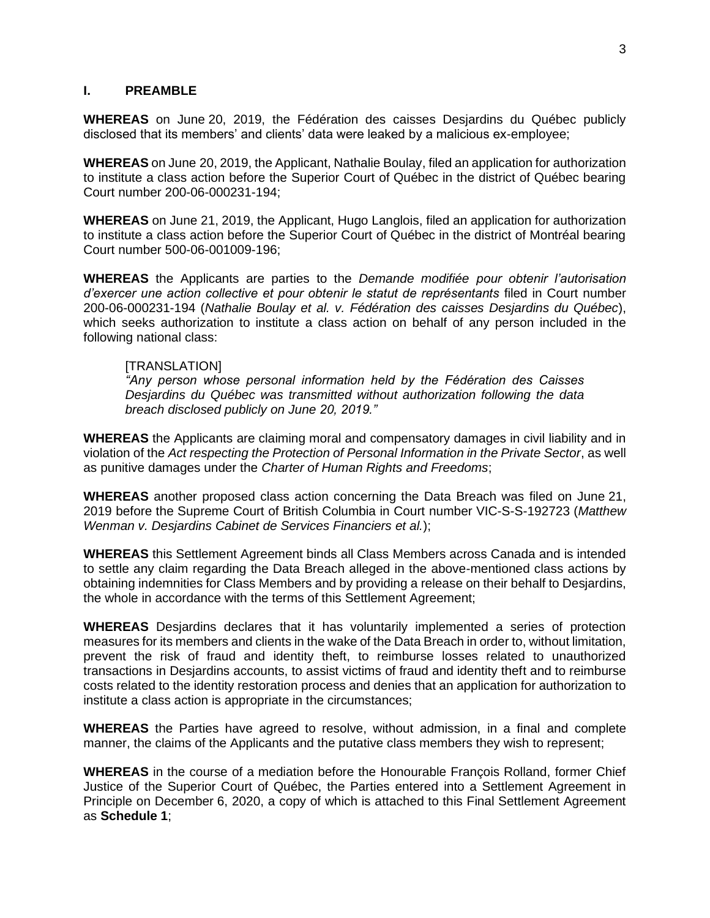#### **I. PREAMBLE**

**WHEREAS** on June 20, 2019, the Fédération des caisses Desjardins du Québec publicly disclosed that its members' and clients' data were leaked by a malicious ex-employee;

**WHEREAS** on June 20, 2019, the Applicant, Nathalie Boulay, filed an application for authorization to institute a class action before the Superior Court of Québec in the district of Québec bearing Court number 200-06-000231-194;

**WHEREAS** on June 21, 2019, the Applicant, Hugo Langlois, filed an application for authorization to institute a class action before the Superior Court of Québec in the district of Montréal bearing Court number 500-06-001009-196;

**WHEREAS** the Applicants are parties to the *Demande modifiée* pour obtenir l'autorisation d'exercer une action collective et pour obtenir le statut de représentants filed in Court number 200-06-000231-194 (*Nathalie Boulay et al. v. Fédération des caisses Desjardins du Québec*), which seeks authorization to institute a class action on behalf of any person included in the following national class:

#### [TRANSLATION]

"Any person whose personal information held by the Fédération des Caisses *Desjardins du Québec was transmitted without authorization following the data breach disclosed publicly on June* 20, 2019."

**WHEREAS** the Applicants are claiming moral and compensatory damages in civil liability and in violation of the *Act respecting the Protection of Personal Information in the Private Sector*, as well as punitive damages under the *Charter of Human Rights and Freedoms*;

**WHEREAS** another proposed class action concerning the Data Breach was filed on June 21, 2019 before the Supreme Court of British Columbia in Court number VIC-S-S-192723 (*Matthew Wenman v. Desjardins Cabinet de Services Financiers et al.*);

**WHEREAS** this Settlement Agreement binds all Class Members across Canada and is intended to settle any claim regarding the Data Breach alleged in the above-mentioned class actions by obtaining indemnities for Class Members and by providing a release on their behalf to Desjardins, the whole in accordance with the terms of this Settlement Agreement;

**WHEREAS** Desjardins declares that it has voluntarily implemented a series of protection measures for its members and clients in the wake of the Data Breach in order to, without limitation, prevent the risk of fraud and identity theft, to reimburse losses related to unauthorized transactions in Desjardins accounts, to assist victims of fraud and identity theft and to reimburse costs related to the identity restoration process and denies that an application for authorization to institute a class action is appropriate in the circumstances;

**WHEREAS** the Parties have agreed to resolve, without admission, in a final and complete manner, the claims of the Applicants and the putative class members they wish to represent;

**WHEREAS** in the course of a mediation before the Honourable François Rolland, former Chief Justice of the Superior Court of Québec, the Parties entered into a Settlement Agreement in Principle on December 6, 2020, a copy of which is attached to this Final Settlement Agreement as **Schedule 1**;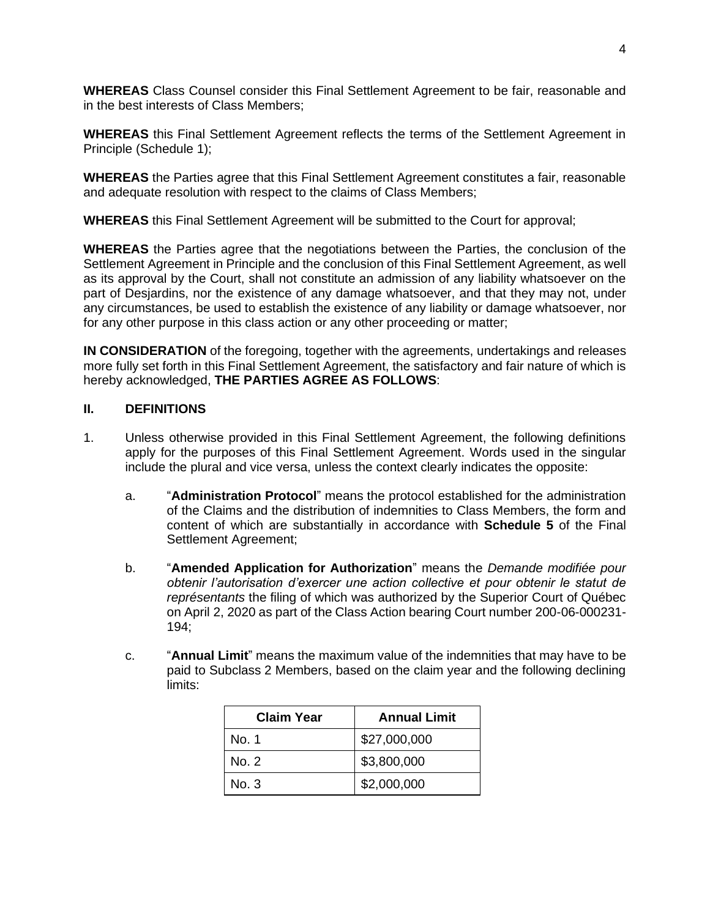**WHEREAS** Class Counsel consider this Final Settlement Agreement to be fair, reasonable and in the best interests of Class Members;

**WHEREAS** this Final Settlement Agreement reflects the terms of the Settlement Agreement in Principle (Schedule 1);

**WHEREAS** the Parties agree that this Final Settlement Agreement constitutes a fair, reasonable and adequate resolution with respect to the claims of Class Members;

**WHEREAS** this Final Settlement Agreement will be submitted to the Court for approval;

**WHEREAS** the Parties agree that the negotiations between the Parties, the conclusion of the Settlement Agreement in Principle and the conclusion of this Final Settlement Agreement, as well as its approval by the Court, shall not constitute an admission of any liability whatsoever on the part of Desjardins, nor the existence of any damage whatsoever, and that they may not, under any circumstances, be used to establish the existence of any liability or damage whatsoever, nor for any other purpose in this class action or any other proceeding or matter;

**IN CONSIDERATION** of the foregoing, together with the agreements, undertakings and releases more fully set forth in this Final Settlement Agreement, the satisfactory and fair nature of which is hereby acknowledged, **THE PARTIES AGREE AS FOLLOWS**:

### **II. DEFINITIONS**

- 1. Unless otherwise provided in this Final Settlement Agreement, the following definitions apply for the purposes of this Final Settlement Agreement. Words used in the singular include the plural and vice versa, unless the context clearly indicates the opposite:
	- a. **4 Administration Protocol**" means the protocol established for the administration of the Claims and the distribution of indemnities to Class Members, the form and content of which are substantially in accordance with **Schedule 5** of the Final Settlement Agreement;
	- b. y**Amended Application for Authorization**z means the *Demande modifiée pour*  obtenir l'autorisation d'exercer une action collective et pour obtenir le statut de *représentants* the filing of which was authorized by the Superior Court of Québec on April 2, 2020 as part of the Class Action bearing Court number 200-06-000231- 194;
	- c. **Annual Limit** means the maximum value of the indemnities that may have to be paid to Subclass 2 Members, based on the claim year and the following declining limits:

| <b>Claim Year</b> | <b>Annual Limit</b> |
|-------------------|---------------------|
| No. 1             | \$27,000,000        |
| No. 2             | \$3,800,000         |
| No. 3             | \$2,000,000         |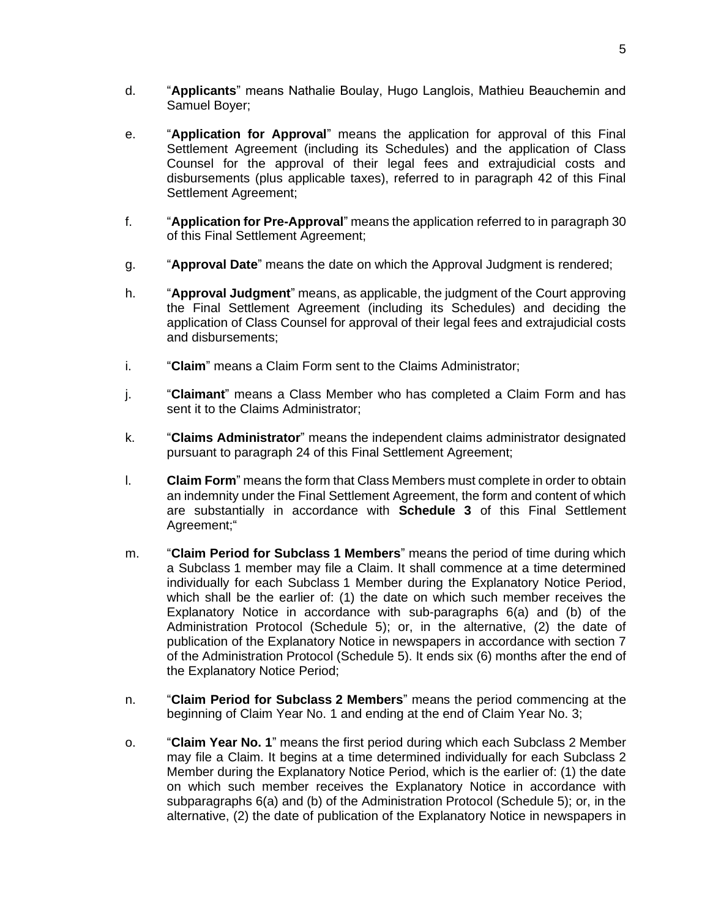- d. **49 yapplicants**" means Nathalie Boulay, Hugo Langlois, Mathieu Beauchemin and Samuel Boyer;
- e. "Application for Approval" means the application for approval of this Final Settlement Agreement (including its Schedules) and the application of Class Counsel for the approval of their legal fees and extrajudicial costs and disbursements (plus applicable taxes), referred to in paragraph 42 of this Final Settlement Agreement;
- f. **Application for Pre-Approval**" means the application referred to in paragraph 30 of this Final Settlement Agreement;
- g. "Approval Date" means the date on which the Approval Judgment is rendered;
- h. **49 "Approval Judgment**" means, as applicable, the judgment of the Court approving the Final Settlement Agreement (including its Schedules) and deciding the application of Class Counsel for approval of their legal fees and extrajudicial costs and disbursements;
- i. **Claim**" means a Claim Form sent to the Claims Administrator;
- j. **Claimant**" means a Class Member who has completed a Claim Form and has sent it to the Claims Administrator;
- k. **Claims Administrator**<sup>"</sup> means the independent claims administrator designated pursuant to paragraph 24 of this Final Settlement Agreement;
- l. **Claim Form**" means the form that Class Members must complete in order to obtain an indemnity under the Final Settlement Agreement, the form and content of which are substantially in accordance with **Schedule 3** of this Final Settlement Agreement;"
- m. **Claim Period for Subclass 1 Members**" means the period of time during which a Subclass 1 member may file a Claim. It shall commence at a time determined individually for each Subclass 1 Member during the Explanatory Notice Period, which shall be the earlier of: (1) the date on which such member receives the Explanatory Notice in accordance with sub-paragraphs 6(a) and (b) of the Administration Protocol (Schedule 5); or, in the alternative, (2) the date of publication of the Explanatory Notice in newspapers in accordance with section 7 of the Administration Protocol (Schedule 5). It ends six (6) months after the end of the Explanatory Notice Period;
- n. y**Claim Period for Subclass 2 Members**z means the period commencing at the beginning of Claim Year No. 1 and ending at the end of Claim Year No. 3;
- o. y**Claim Year No. 1**z means the first period during which each Subclass 2 Member may file a Claim. It begins at a time determined individually for each Subclass 2 Member during the Explanatory Notice Period, which is the earlier of: (1) the date on which such member receives the Explanatory Notice in accordance with subparagraphs 6(a) and (b) of the Administration Protocol (Schedule 5); or, in the alternative, (2) the date of publication of the Explanatory Notice in newspapers in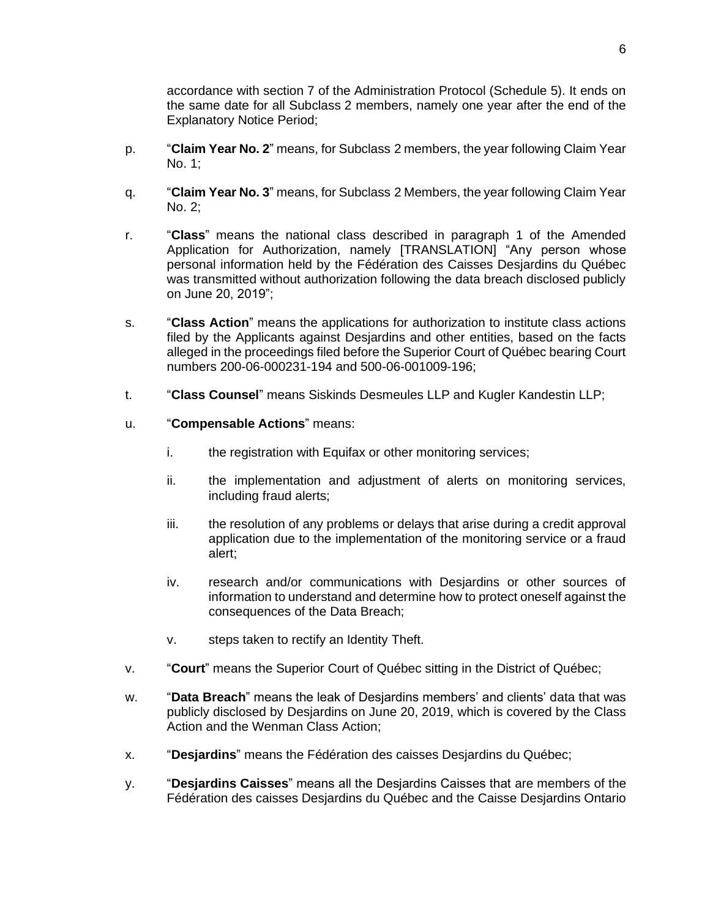accordance with section 7 of the Administration Protocol (Schedule 5). It ends on the same date for all Subclass 2 members, namely one year after the end of the Explanatory Notice Period;

- p. y**Claim Year No. 2**z means, for Subclass 2 members, the year following Claim Year No. 1;
- q. y**Claim Year No. 3**z means, for Subclass 2 Members, the year following Claim Year No. 2;
- r. y**Class**z means the national class described in paragraph 1 of the Amended Application for Authorization, namely [TRANSLATION] "Any person whose personal information held by the Fédération des Caisses Desjardins du Québec was transmitted without authorization following the data breach disclosed publicly on June 20, 2019";
- s. **Class Action**<sup>"</sup> means the applications for authorization to institute class actions filed by the Applicants against Desjardins and other entities, based on the facts alleged in the proceedings filed before the Superior Court of Québec bearing Court numbers 200-06-000231-194 and 500-06-001009-196;
- t. **Class Counsel**" means Siskinds Desmeules LLP and Kugler Kandestin LLP;
- u. **Compensable Actions**" means:
	- i. the registration with Equifax or other monitoring services;
	- ii. the implementation and adjustment of alerts on monitoring services, including fraud alerts;
	- iii. the resolution of any problems or delays that arise during a credit approval application due to the implementation of the monitoring service or a fraud alert;
	- iv. research and/or communications with Desjardins or other sources of information to understand and determine how to protect oneself against the consequences of the Data Breach;
	- v. steps taken to rectify an Identity Theft.
- v. **Court**" means the Superior Court of Québec sitting in the District of Québec;
- w. **"Data Breach**" means the leak of Desjardins members' and clients' data that was publicly disclosed by Desjardins on June 20, 2019, which is covered by the Class Action and the Wenman Class Action;
- x. **The** *Pesjardins* means the Fédération des caisses Desjardins du Québec;
- y. "Desjardins Caisses" means all the Desjardins Caisses that are members of the Fédération des caisses Desjardins du Québec and the Caisse Desjardins Ontario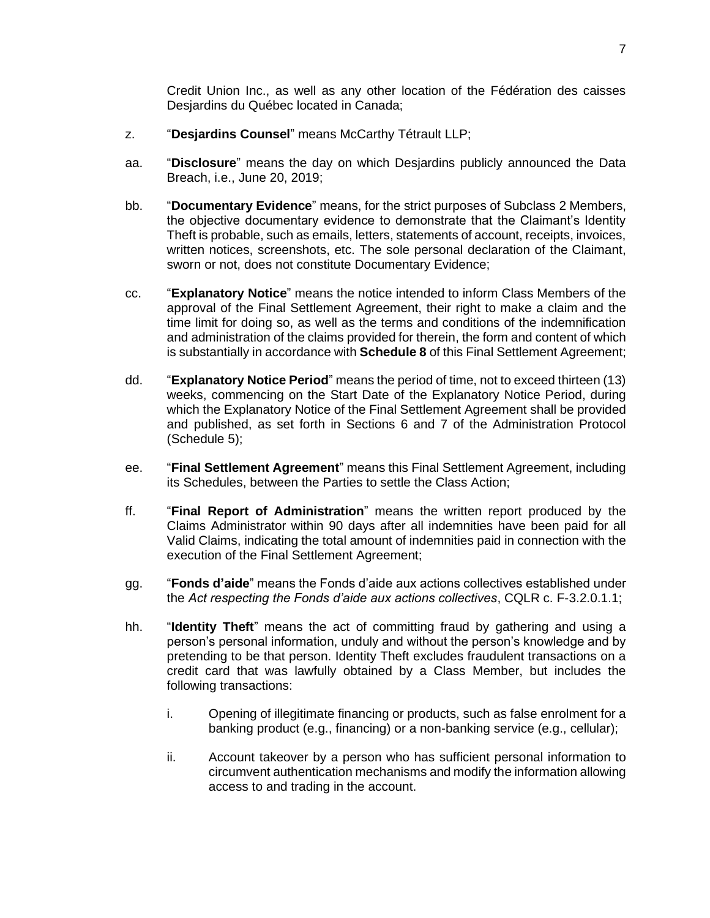Credit Union Inc., as well as any other location of the Fédération des caisses Desjardins du Québec located in Canada;

- z. **"Desjardins Counsel**" means McCarthy Tétrault LLP;
- aa. y**Disclosure**z means the day on which Desjardins publicly announced the Data Breach, i.e., June 20, 2019;
- bb. "Documentary Evidence" means, for the strict purposes of Subclass 2 Members, the objective documentary evidence to demonstrate that the Claimant's Identity Theft is probable, such as emails, letters, statements of account, receipts, invoices, written notices, screenshots, etc. The sole personal declaration of the Claimant, sworn or not, does not constitute Documentary Evidence;
- cc. y**Explanatory Notice**z means the notice intended to inform Class Members of the approval of the Final Settlement Agreement, their right to make a claim and the time limit for doing so, as well as the terms and conditions of the indemnification and administration of the claims provided for therein, the form and content of which is substantially in accordance with **Schedule 8** of this Final Settlement Agreement;
- dd. **Fixplanatory Notice Period**" means the period of time, not to exceed thirteen (13) weeks, commencing on the Start Date of the Explanatory Notice Period, during which the Explanatory Notice of the Final Settlement Agreement shall be provided and published, as set forth in Sections 6 and 7 of the Administration Protocol (Schedule 5);
- ee. **Final Settlement Agreement**" means this Final Settlement Agreement, including its Schedules, between the Parties to settle the Class Action;
- ff. y**Final Report of Administration**z means the written report produced by the Claims Administrator within 90 days after all indemnities have been paid for all Valid Claims, indicating the total amount of indemnities paid in connection with the execution of the Final Settlement Agreement;
- gg. **Fonds d'aide**" means the Fonds d'aide aux actions collectives established under the Act respecting the Fonds d'aide aux actions collectives, CQLR c. F-3.2.0.1.1;
- hh. "Identity Theft" means the act of committing fraud by gathering and using a person's personal information, unduly and without the person's knowledge and by pretending to be that person. Identity Theft excludes fraudulent transactions on a credit card that was lawfully obtained by a Class Member, but includes the following transactions:
	- i. Opening of illegitimate financing or products, such as false enrolment for a banking product (e.g., financing) or a non-banking service (e.g., cellular);
	- ii. Account takeover by a person who has sufficient personal information to circumvent authentication mechanisms and modify the information allowing access to and trading in the account.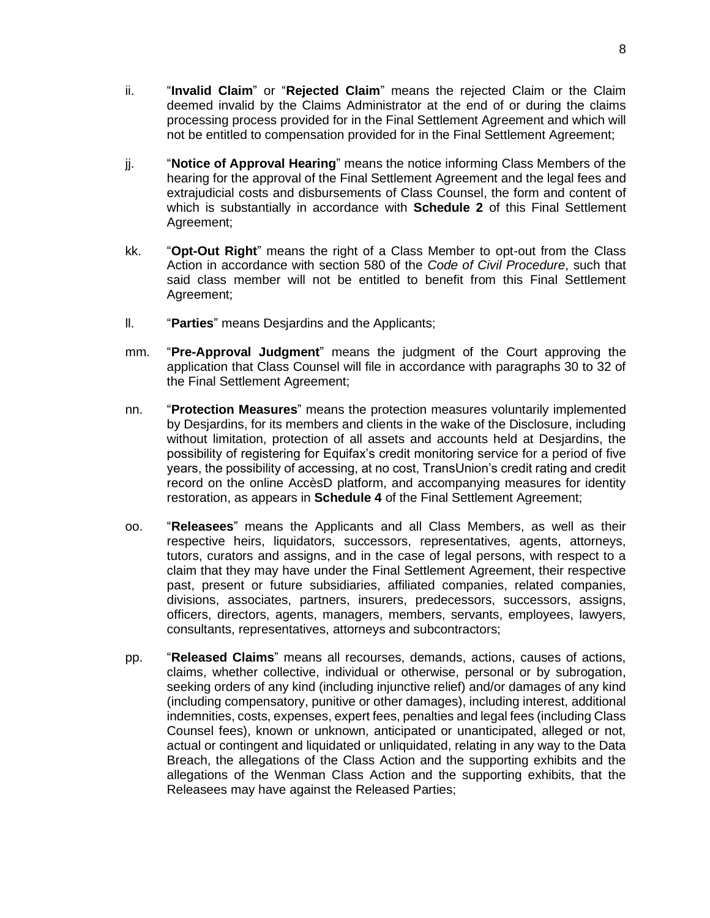- ii. **yinvalid Claim**" or "Rejected Claim" means the rejected Claim or the Claim deemed invalid by the Claims Administrator at the end of or during the claims processing process provided for in the Final Settlement Agreement and which will not be entitled to compensation provided for in the Final Settlement Agreement;
- ji. **Wotice of Approval Hearing**" means the notice informing Class Members of the hearing for the approval of the Final Settlement Agreement and the legal fees and extrajudicial costs and disbursements of Class Counsel, the form and content of which is substantially in accordance with **Schedule 2** of this Final Settlement Agreement;
- kk. **"Opt-Out Right**" means the right of a Class Member to opt-out from the Class Action in accordance with section 580 of the *Code of Civil Procedure*, such that said class member will not be entitled to benefit from this Final Settlement Agreement;
- II. **Parties**" means Desjardins and the Applicants;
- mm. "Pre-Approval Judgment" means the judgment of the Court approving the application that Class Counsel will file in accordance with paragraphs 30 to 32 of the Final Settlement Agreement;
- nn. **Protection Measures**" means the protection measures voluntarily implemented by Desjardins, for its members and clients in the wake of the Disclosure, including without limitation, protection of all assets and accounts held at Desjardins, the possibility of registering for Equifax's credit monitoring service for a period of five years, the possibility of accessing, at no cost, TransUnion's credit rating and credit record on the online AccèsD platform, and accompanying measures for identity restoration, as appears in **Schedule 4** of the Final Settlement Agreement;
- oo. y**Releasees**z means the Applicants and all Class Members, as well as their respective heirs, liquidators, successors, representatives, agents, attorneys, tutors, curators and assigns, and in the case of legal persons, with respect to a claim that they may have under the Final Settlement Agreement, their respective past, present or future subsidiaries, affiliated companies, related companies, divisions, associates, partners, insurers, predecessors, successors, assigns, officers, directors, agents, managers, members, servants, employees, lawyers, consultants, representatives, attorneys and subcontractors;
- pp. "Released Claims" means all recourses, demands, actions, causes of actions, claims, whether collective, individual or otherwise, personal or by subrogation, seeking orders of any kind (including injunctive relief) and/or damages of any kind (including compensatory, punitive or other damages), including interest, additional indemnities, costs, expenses, expert fees, penalties and legal fees (including Class Counsel fees), known or unknown, anticipated or unanticipated, alleged or not, actual or contingent and liquidated or unliquidated, relating in any way to the Data Breach, the allegations of the Class Action and the supporting exhibits and the allegations of the Wenman Class Action and the supporting exhibits, that the Releasees may have against the Released Parties;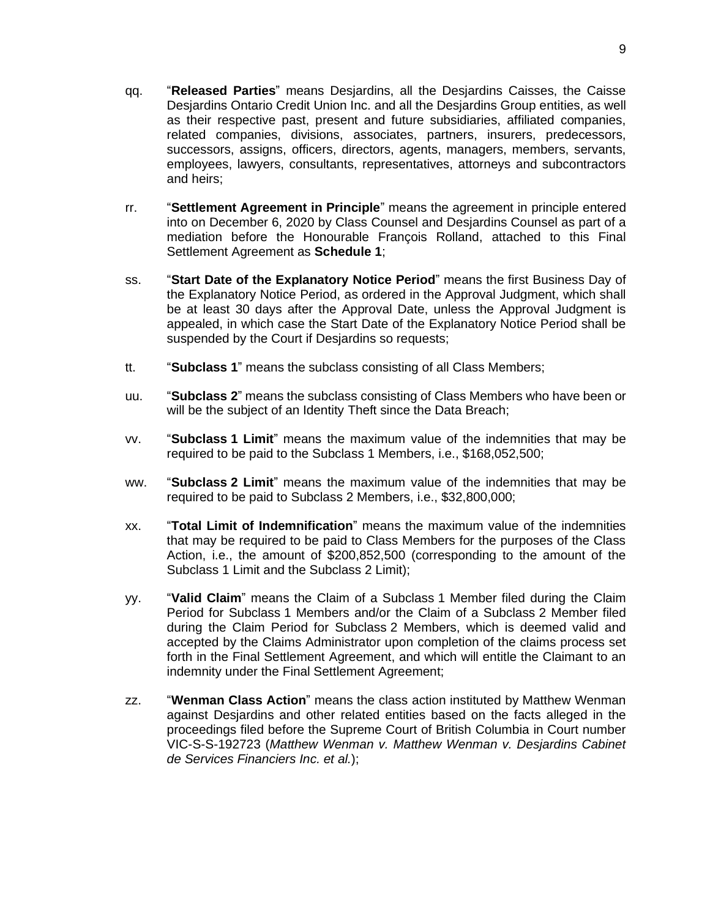- qq. y**Released Parties**z means Desjardins, all the Desjardins Caisses, the Caisse Desjardins Ontario Credit Union Inc. and all the Desjardins Group entities, as well as their respective past, present and future subsidiaries, affiliated companies, related companies, divisions, associates, partners, insurers, predecessors, successors, assigns, officers, directors, agents, managers, members, servants, employees, lawyers, consultants, representatives, attorneys and subcontractors and heirs;
- rr. **Settlement Agreement in Principle**" means the agreement in principle entered into on December 6, 2020 by Class Counsel and Desjardins Counsel as part of a mediation before the Honourable François Rolland, attached to this Final Settlement Agreement as **Schedule 1**;
- ss. **"Start Date of the Explanatory Notice Period**" means the first Business Day of the Explanatory Notice Period, as ordered in the Approval Judgment, which shall be at least 30 days after the Approval Date, unless the Approval Judgment is appealed, in which case the Start Date of the Explanatory Notice Period shall be suspended by the Court if Desjardins so requests;
- tt. **Subclass 1**<sup>*n*</sup> means the subclass consisting of all Class Members;
- uu. <sup>"</sup>Subclass 2" means the subclass consisting of Class Members who have been or will be the subject of an Identity Theft since the Data Breach;
- vv. y**Subclass 1 Limit**z means the maximum value of the indemnities that may be required to be paid to the Subclass 1 Members, i.e., \$168,052,500;
- ww. **"Subclass 2 Limit**" means the maximum value of the indemnities that may be required to be paid to Subclass 2 Members, i.e., \$32,800,000;
- xx. **Total Limit of Indemnification**" means the maximum value of the indemnities that may be required to be paid to Class Members for the purposes of the Class Action, i.e., the amount of \$200,852,500 (corresponding to the amount of the Subclass 1 Limit and the Subclass 2 Limit);
- yy. y**Valid Claim**z means the Claim of a Subclass 1 Member filed during the Claim Period for Subclass 1 Members and/or the Claim of a Subclass 2 Member filed during the Claim Period for Subclass 2 Members, which is deemed valid and accepted by the Claims Administrator upon completion of the claims process set forth in the Final Settlement Agreement, and which will entitle the Claimant to an indemnity under the Final Settlement Agreement;
- zz. **Wenman Class Action**" means the class action instituted by Matthew Wenman against Desjardins and other related entities based on the facts alleged in the proceedings filed before the Supreme Court of British Columbia in Court number VIC-S-S-192723 (*Matthew Wenman v. Matthew Wenman v. Desjardins Cabinet de Services Financiers Inc. et al.*);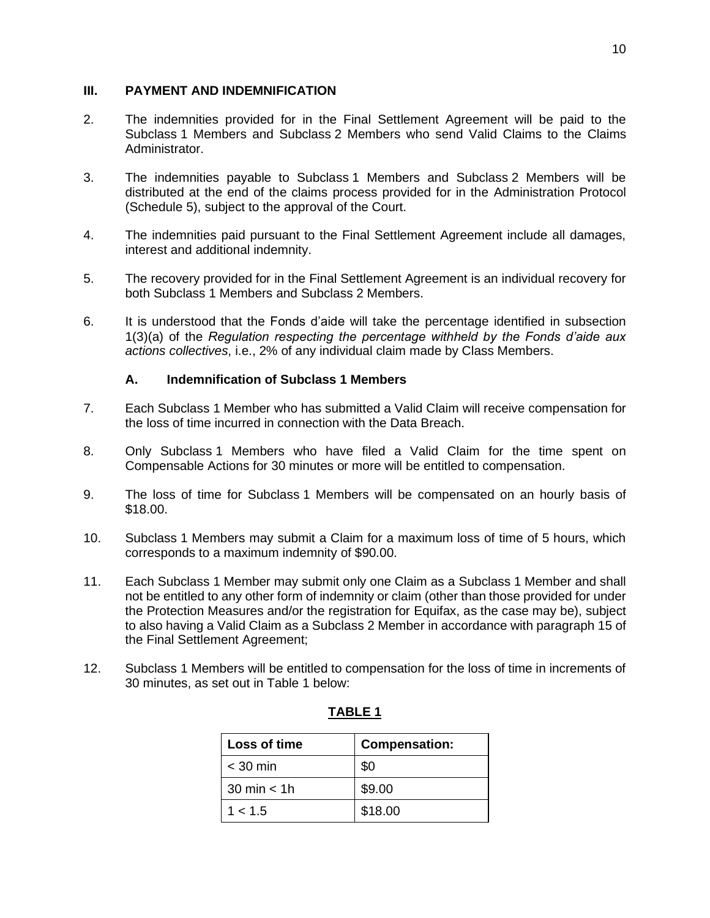### **III. PAYMENT AND INDEMNIFICATION**

- 2. The indemnities provided for in the Final Settlement Agreement will be paid to the Subclass 1 Members and Subclass 2 Members who send Valid Claims to the Claims Administrator.
- 3. The indemnities payable to Subclass 1 Members and Subclass 2 Members will be distributed at the end of the claims process provided for in the Administration Protocol (Schedule 5), subject to the approval of the Court.
- 4. The indemnities paid pursuant to the Final Settlement Agreement include all damages, interest and additional indemnity.
- 5. The recovery provided for in the Final Settlement Agreement is an individual recovery for both Subclass 1 Members and Subclass 2 Members.
- 6. It is understood that the Fonds d'aide will take the percentage identified in subsection 1(3)(a) of the Regulation respecting the percentage withheld by the Fonds d'aide aux *actions collectives*, i.e., 2% of any individual claim made by Class Members.

### **A. Indemnification of Subclass 1 Members**

- 7. Each Subclass 1 Member who has submitted a Valid Claim will receive compensation for the loss of time incurred in connection with the Data Breach.
- 8. Only Subclass 1 Members who have filed a Valid Claim for the time spent on Compensable Actions for 30 minutes or more will be entitled to compensation.
- 9. The loss of time for Subclass 1 Members will be compensated on an hourly basis of \$18.00.
- 10. Subclass 1 Members may submit a Claim for a maximum loss of time of 5 hours, which corresponds to a maximum indemnity of \$90.00.
- 11. Each Subclass 1 Member may submit only one Claim as a Subclass 1 Member and shall not be entitled to any other form of indemnity or claim (other than those provided for under the Protection Measures and/or the registration for Equifax, as the case may be), subject to also having a Valid Claim as a Subclass 2 Member in accordance with paragraph 15 of the Final Settlement Agreement;
- 12. Subclass 1 Members will be entitled to compensation for the loss of time in increments of 30 minutes, as set out in Table 1 below:

| <b>Loss of time</b>    | <b>Compensation:</b> |  |
|------------------------|----------------------|--|
| $<$ 30 min             | \$0                  |  |
| $30 \text{ min} < 1$ h | \$9.00               |  |
| 1 < 1.5                | \$18.00              |  |

### **TABLE 1**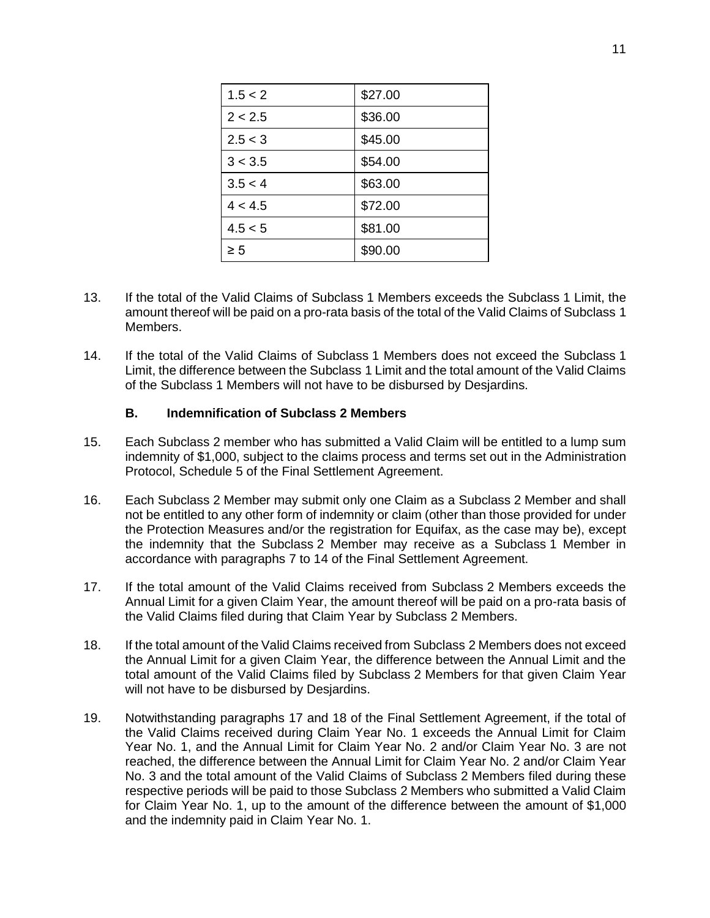| 1.5 < 2  | \$27.00 |
|----------|---------|
| 2 < 2.5  | \$36.00 |
| 2.5 < 3  | \$45.00 |
| 3 < 3.5  | \$54.00 |
| 3.5 < 4  | \$63.00 |
| 4 < 4.5  | \$72.00 |
| 4.5 < 5  | \$81.00 |
| $\geq 5$ | \$90.00 |

- 13. If the total of the Valid Claims of Subclass 1 Members exceeds the Subclass 1 Limit, the amount thereof will be paid on a pro-rata basis of the total of the Valid Claims of Subclass 1 Members.
- 14. If the total of the Valid Claims of Subclass 1 Members does not exceed the Subclass 1 Limit, the difference between the Subclass 1 Limit and the total amount of the Valid Claims of the Subclass 1 Members will not have to be disbursed by Desjardins.

### **B. Indemnification of Subclass 2 Members**

- 15. Each Subclass 2 member who has submitted a Valid Claim will be entitled to a lump sum indemnity of \$1,000, subject to the claims process and terms set out in the Administration Protocol, Schedule 5 of the Final Settlement Agreement.
- 16. Each Subclass 2 Member may submit only one Claim as a Subclass 2 Member and shall not be entitled to any other form of indemnity or claim (other than those provided for under the Protection Measures and/or the registration for Equifax, as the case may be), except the indemnity that the Subclass 2 Member may receive as a Subclass 1 Member in accordance with paragraphs 7 to 14 of the Final Settlement Agreement.
- 17. If the total amount of the Valid Claims received from Subclass 2 Members exceeds the Annual Limit for a given Claim Year, the amount thereof will be paid on a pro-rata basis of the Valid Claims filed during that Claim Year by Subclass 2 Members.
- 18. If the total amount of the Valid Claims received from Subclass 2 Members does not exceed the Annual Limit for a given Claim Year, the difference between the Annual Limit and the total amount of the Valid Claims filed by Subclass 2 Members for that given Claim Year will not have to be disbursed by Desjardins.
- 19. Notwithstanding paragraphs 17 and 18 of the Final Settlement Agreement, if the total of the Valid Claims received during Claim Year No. 1 exceeds the Annual Limit for Claim Year No. 1, and the Annual Limit for Claim Year No. 2 and/or Claim Year No. 3 are not reached, the difference between the Annual Limit for Claim Year No. 2 and/or Claim Year No. 3 and the total amount of the Valid Claims of Subclass 2 Members filed during these respective periods will be paid to those Subclass 2 Members who submitted a Valid Claim for Claim Year No. 1, up to the amount of the difference between the amount of \$1,000 and the indemnity paid in Claim Year No. 1.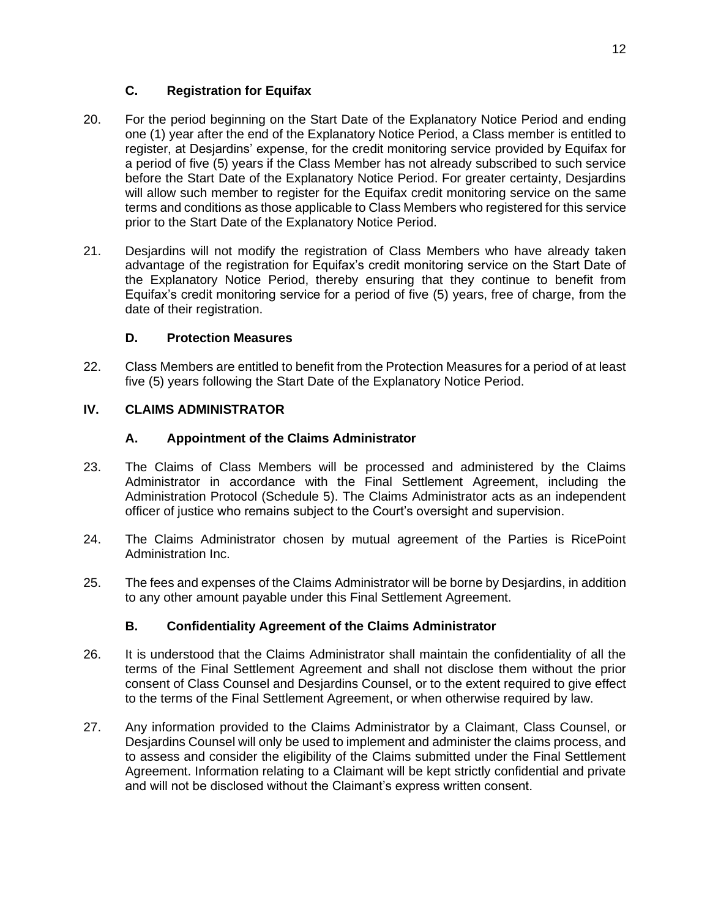## **C. Registration for Equifax**

- 20. For the period beginning on the Start Date of the Explanatory Notice Period and ending one (1) year after the end of the Explanatory Notice Period, a Class member is entitled to register, at Desjardins' expense, for the credit monitoring service provided by Equifax for a period of five (5) years if the Class Member has not already subscribed to such service before the Start Date of the Explanatory Notice Period. For greater certainty, Desjardins will allow such member to register for the Equifax credit monitoring service on the same terms and conditions as those applicable to Class Members who registered for this service prior to the Start Date of the Explanatory Notice Period.
- 21. Desjardins will not modify the registration of Class Members who have already taken advantage of the registration for Equifax's credit monitoring service on the Start Date of the Explanatory Notice Period, thereby ensuring that they continue to benefit from Equifax's credit monitoring service for a period of five  $(5)$  years, free of charge, from the date of their registration.

# **D. Protection Measures**

22. Class Members are entitled to benefit from the Protection Measures for a period of at least five (5) years following the Start Date of the Explanatory Notice Period.

# **IV. CLAIMS ADMINISTRATOR**

# **A. Appointment of the Claims Administrator**

- 23. The Claims of Class Members will be processed and administered by the Claims Administrator in accordance with the Final Settlement Agreement, including the Administration Protocol (Schedule 5). The Claims Administrator acts as an independent officer of justice who remains subject to the Court's oversight and supervision.
- 24. The Claims Administrator chosen by mutual agreement of the Parties is RicePoint Administration Inc.
- 25. The fees and expenses of the Claims Administrator will be borne by Desjardins, in addition to any other amount payable under this Final Settlement Agreement.

## **B. Confidentiality Agreement of the Claims Administrator**

- 26. It is understood that the Claims Administrator shall maintain the confidentiality of all the terms of the Final Settlement Agreement and shall not disclose them without the prior consent of Class Counsel and Desjardins Counsel, or to the extent required to give effect to the terms of the Final Settlement Agreement, or when otherwise required by law.
- 27. Any information provided to the Claims Administrator by a Claimant, Class Counsel, or Desjardins Counsel will only be used to implement and administer the claims process, and to assess and consider the eligibility of the Claims submitted under the Final Settlement Agreement. Information relating to a Claimant will be kept strictly confidential and private and will not be disclosed without the Claimant's express written consent.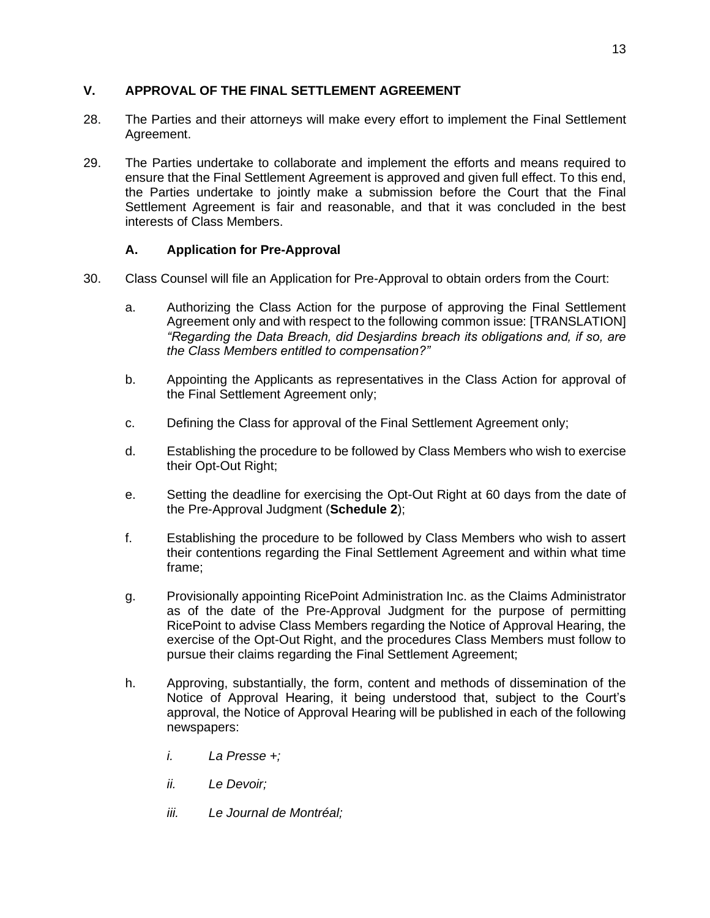## **V. APPROVAL OF THE FINAL SETTLEMENT AGREEMENT**

- 28. The Parties and their attorneys will make every effort to implement the Final Settlement Agreement.
- 29. The Parties undertake to collaborate and implement the efforts and means required to ensure that the Final Settlement Agreement is approved and given full effect. To this end, the Parties undertake to jointly make a submission before the Court that the Final Settlement Agreement is fair and reasonable, and that it was concluded in the best interests of Class Members.

## **A. Application for Pre-Approval**

- 30. Class Counsel will file an Application for Pre-Approval to obtain orders from the Court:
	- a. Authorizing the Class Action for the purpose of approving the Final Settlement Agreement only and with respect to the following common issue: [TRANSLATION] "Regarding the Data Breach, did Desjardins breach its obligations and, if so, are *the Class Membe*rs entitled to compensation?"
	- b. Appointing the Applicants as representatives in the Class Action for approval of the Final Settlement Agreement only;
	- c. Defining the Class for approval of the Final Settlement Agreement only;
	- d. Establishing the procedure to be followed by Class Members who wish to exercise their Opt-Out Right;
	- e. Setting the deadline for exercising the Opt-Out Right at 60 days from the date of the Pre-Approval Judgment (**Schedule 2**);
	- f. Establishing the procedure to be followed by Class Members who wish to assert their contentions regarding the Final Settlement Agreement and within what time frame;
	- g. Provisionally appointing RicePoint Administration Inc. as the Claims Administrator as of the date of the Pre-Approval Judgment for the purpose of permitting RicePoint to advise Class Members regarding the Notice of Approval Hearing, the exercise of the Opt-Out Right, and the procedures Class Members must follow to pursue their claims regarding the Final Settlement Agreement;
	- h. Approving, substantially, the form, content and methods of dissemination of the Notice of Approval Hearing, it being understood that, subject to the Court's approval, the Notice of Approval Hearing will be published in each of the following newspapers:
		- *i. La Presse +;*
		- *ii. Le Devoir;*
		- *iii. Le Journal de Montréal;*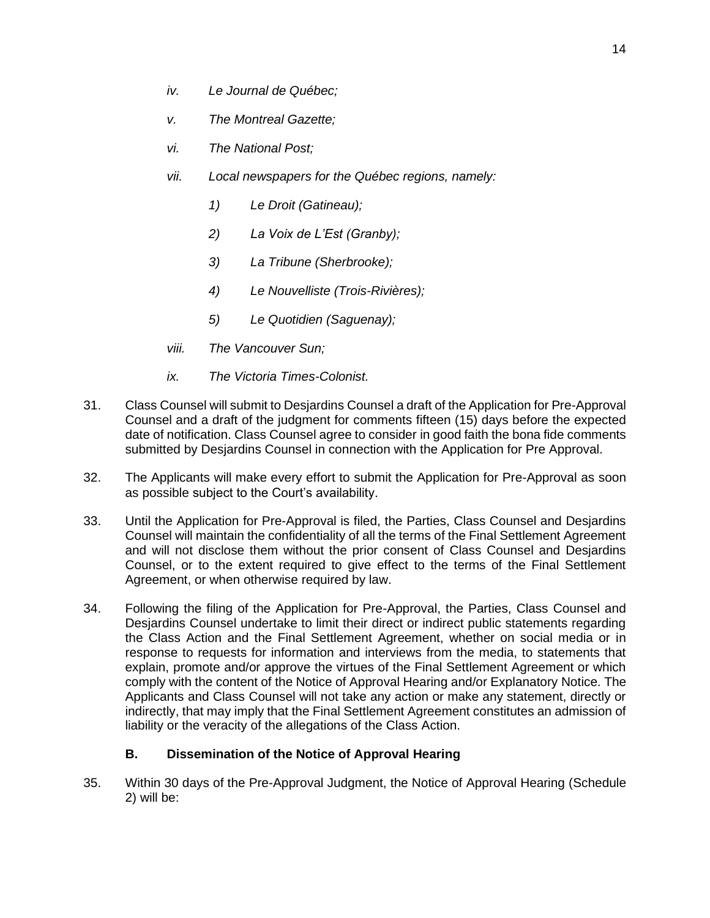- *iv. Le Journal de Québec;*
- *v. The Montreal Gazette;*
- *vi. The National Post;*
- *vii. Local newspapers for the Québec regions, namely:* 
	- *1) Le Droit (Gatineau);*
	- *2)* La Voix de L'Est (Granby);
	- *3) La Tribune (Sherbrooke);*
	- *4) Le Nouvelliste (Trois-Rivières);*
	- *5) Le Quotidien (Saguenay);*
- *viii. The Vancouver Sun;*
- *ix. The Victoria Times-Colonist.*
- 31. Class Counsel will submit to Desjardins Counsel a draft of the Application for Pre-Approval Counsel and a draft of the judgment for comments fifteen (15) days before the expected date of notification. Class Counsel agree to consider in good faith the bona fide comments submitted by Desjardins Counsel in connection with the Application for Pre Approval.
- 32. The Applicants will make every effort to submit the Application for Pre-Approval as soon as possible subject to the Court's availability.
- 33. Until the Application for Pre-Approval is filed, the Parties, Class Counsel and Desjardins Counsel will maintain the confidentiality of all the terms of the Final Settlement Agreement and will not disclose them without the prior consent of Class Counsel and Desjardins Counsel, or to the extent required to give effect to the terms of the Final Settlement Agreement, or when otherwise required by law.
- 34. Following the filing of the Application for Pre-Approval, the Parties, Class Counsel and Desjardins Counsel undertake to limit their direct or indirect public statements regarding the Class Action and the Final Settlement Agreement, whether on social media or in response to requests for information and interviews from the media, to statements that explain, promote and/or approve the virtues of the Final Settlement Agreement or which comply with the content of the Notice of Approval Hearing and/or Explanatory Notice. The Applicants and Class Counsel will not take any action or make any statement, directly or indirectly, that may imply that the Final Settlement Agreement constitutes an admission of liability or the veracity of the allegations of the Class Action.

### **B. Dissemination of the Notice of Approval Hearing**

35. Within 30 days of the Pre-Approval Judgment, the Notice of Approval Hearing (Schedule 2) will be: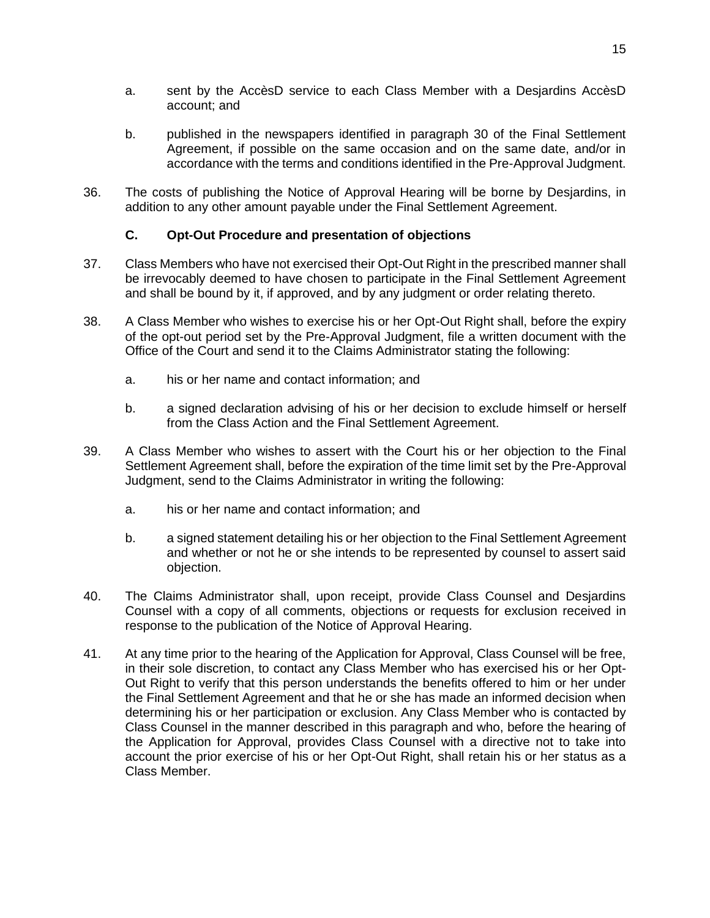- a. sent by the AccèsD service to each Class Member with a Desjardins AccèsD account; and
- b. published in the newspapers identified in paragraph 30 of the Final Settlement Agreement, if possible on the same occasion and on the same date, and/or in accordance with the terms and conditions identified in the Pre-Approval Judgment.
- 36. The costs of publishing the Notice of Approval Hearing will be borne by Desjardins, in addition to any other amount payable under the Final Settlement Agreement.

## **C. Opt-Out Procedure and presentation of objections**

- 37. Class Members who have not exercised their Opt-Out Right in the prescribed manner shall be irrevocably deemed to have chosen to participate in the Final Settlement Agreement and shall be bound by it, if approved, and by any judgment or order relating thereto.
- 38. A Class Member who wishes to exercise his or her Opt-Out Right shall, before the expiry of the opt-out period set by the Pre-Approval Judgment, file a written document with the Office of the Court and send it to the Claims Administrator stating the following:
	- a. his or her name and contact information; and
	- b. a signed declaration advising of his or her decision to exclude himself or herself from the Class Action and the Final Settlement Agreement.
- 39. A Class Member who wishes to assert with the Court his or her objection to the Final Settlement Agreement shall, before the expiration of the time limit set by the Pre-Approval Judgment, send to the Claims Administrator in writing the following:
	- a. his or her name and contact information; and
	- b. a signed statement detailing his or her objection to the Final Settlement Agreement and whether or not he or she intends to be represented by counsel to assert said objection.
- 40. The Claims Administrator shall, upon receipt, provide Class Counsel and Desjardins Counsel with a copy of all comments, objections or requests for exclusion received in response to the publication of the Notice of Approval Hearing.
- 41. At any time prior to the hearing of the Application for Approval, Class Counsel will be free, in their sole discretion, to contact any Class Member who has exercised his or her Opt-Out Right to verify that this person understands the benefits offered to him or her under the Final Settlement Agreement and that he or she has made an informed decision when determining his or her participation or exclusion. Any Class Member who is contacted by Class Counsel in the manner described in this paragraph and who, before the hearing of the Application for Approval, provides Class Counsel with a directive not to take into account the prior exercise of his or her Opt-Out Right, shall retain his or her status as a Class Member.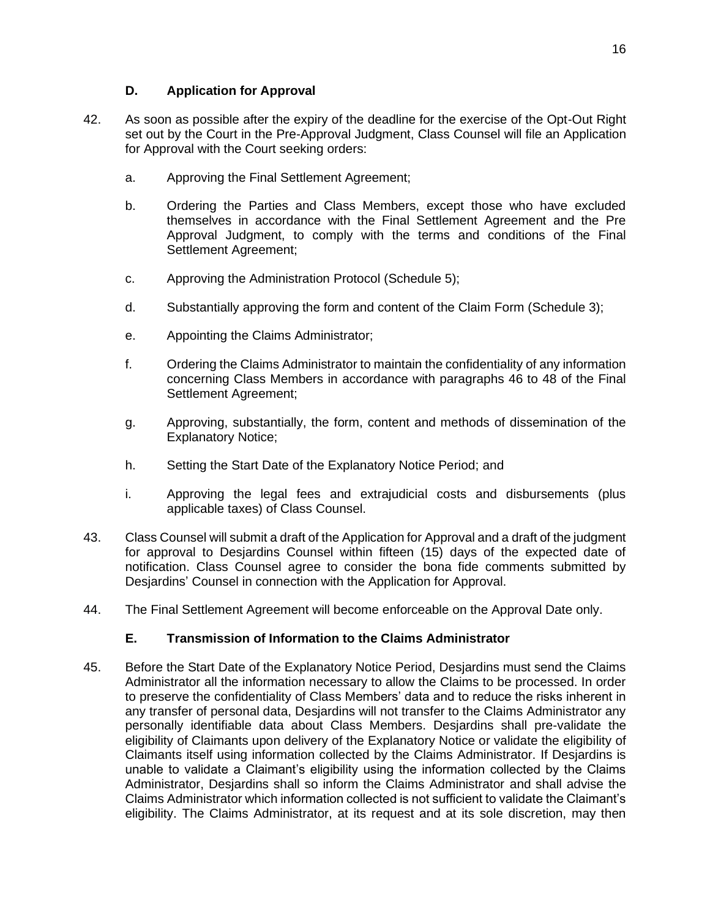- 42. As soon as possible after the expiry of the deadline for the exercise of the Opt-Out Right set out by the Court in the Pre-Approval Judgment, Class Counsel will file an Application for Approval with the Court seeking orders:
	- a. Approving the Final Settlement Agreement;
	- b. Ordering the Parties and Class Members, except those who have excluded themselves in accordance with the Final Settlement Agreement and the Pre Approval Judgment, to comply with the terms and conditions of the Final Settlement Agreement;
	- c. Approving the Administration Protocol (Schedule 5);
	- d. Substantially approving the form and content of the Claim Form (Schedule 3);
	- e. Appointing the Claims Administrator;
	- f. Ordering the Claims Administrator to maintain the confidentiality of any information concerning Class Members in accordance with paragraphs 46 to 48 of the Final Settlement Agreement;
	- g. Approving, substantially, the form, content and methods of dissemination of the Explanatory Notice;
	- h. Setting the Start Date of the Explanatory Notice Period; and
	- i. Approving the legal fees and extrajudicial costs and disbursements (plus applicable taxes) of Class Counsel.
- 43. Class Counsel will submit a draft of the Application for Approval and a draft of the judgment for approval to Desjardins Counsel within fifteen (15) days of the expected date of notification. Class Counsel agree to consider the bona fide comments submitted by Desiardins' Counsel in connection with the Application for Approval.
- 44. The Final Settlement Agreement will become enforceable on the Approval Date only.

## **E. Transmission of Information to the Claims Administrator**

45. Before the Start Date of the Explanatory Notice Period, Desjardins must send the Claims Administrator all the information necessary to allow the Claims to be processed. In order to preserve the confidentiality of Class Members' data and to reduce the risks inherent in any transfer of personal data, Desjardins will not transfer to the Claims Administrator any personally identifiable data about Class Members. Desjardins shall pre-validate the eligibility of Claimants upon delivery of the Explanatory Notice or validate the eligibility of Claimants itself using information collected by the Claims Administrator. If Desjardins is unable to validate a Claimant's eligibility using the information collected by the Claims Administrator, Desjardins shall so inform the Claims Administrator and shall advise the Claims Administrator which information collected is not sufficient to validate the Claimant's eligibility. The Claims Administrator, at its request and at its sole discretion, may then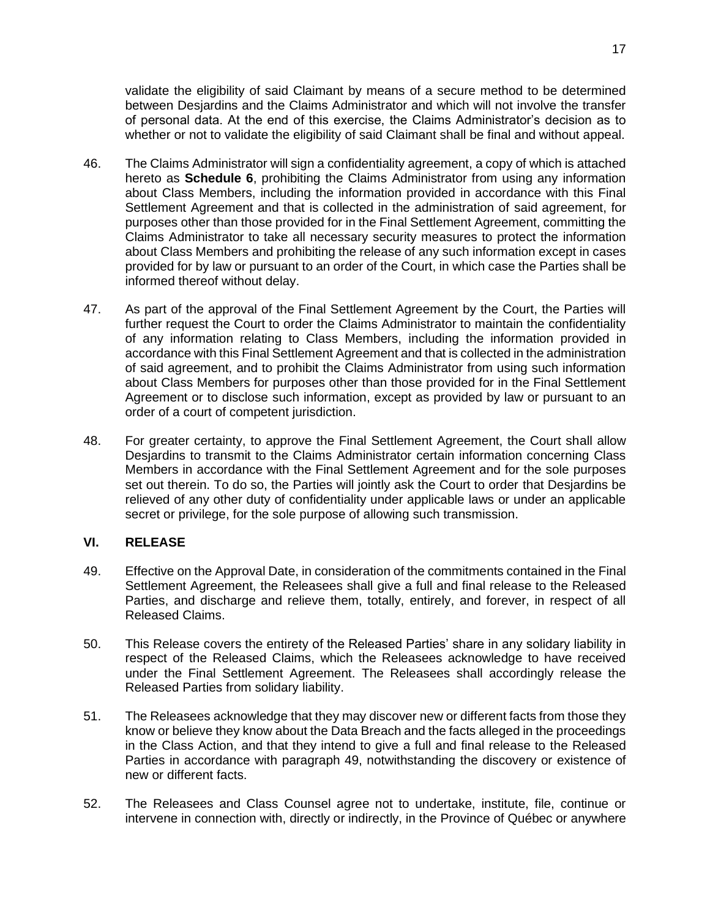validate the eligibility of said Claimant by means of a secure method to be determined between Desjardins and the Claims Administrator and which will not involve the transfer of personal data. At the end of this exercise, the Claims Administrator's decision as to whether or not to validate the eligibility of said Claimant shall be final and without appeal.

- 46. The Claims Administrator will sign a confidentiality agreement, a copy of which is attached hereto as **Schedule 6**, prohibiting the Claims Administrator from using any information about Class Members, including the information provided in accordance with this Final Settlement Agreement and that is collected in the administration of said agreement, for purposes other than those provided for in the Final Settlement Agreement, committing the Claims Administrator to take all necessary security measures to protect the information about Class Members and prohibiting the release of any such information except in cases provided for by law or pursuant to an order of the Court, in which case the Parties shall be informed thereof without delay.
- 47. As part of the approval of the Final Settlement Agreement by the Court, the Parties will further request the Court to order the Claims Administrator to maintain the confidentiality of any information relating to Class Members, including the information provided in accordance with this Final Settlement Agreement and that is collected in the administration of said agreement, and to prohibit the Claims Administrator from using such information about Class Members for purposes other than those provided for in the Final Settlement Agreement or to disclose such information, except as provided by law or pursuant to an order of a court of competent jurisdiction.
- 48. For greater certainty, to approve the Final Settlement Agreement, the Court shall allow Desjardins to transmit to the Claims Administrator certain information concerning Class Members in accordance with the Final Settlement Agreement and for the sole purposes set out therein. To do so, the Parties will jointly ask the Court to order that Desjardins be relieved of any other duty of confidentiality under applicable laws or under an applicable secret or privilege, for the sole purpose of allowing such transmission.

### **VI. RELEASE**

- 49. Effective on the Approval Date, in consideration of the commitments contained in the Final Settlement Agreement, the Releasees shall give a full and final release to the Released Parties, and discharge and relieve them, totally, entirely, and forever, in respect of all Released Claims.
- 50. This Release covers the entirety of the Released Parties' share in any solidary liability in respect of the Released Claims, which the Releasees acknowledge to have received under the Final Settlement Agreement. The Releasees shall accordingly release the Released Parties from solidary liability.
- 51. The Releasees acknowledge that they may discover new or different facts from those they know or believe they know about the Data Breach and the facts alleged in the proceedings in the Class Action, and that they intend to give a full and final release to the Released Parties in accordance with paragraph 49, notwithstanding the discovery or existence of new or different facts.
- 52. The Releasees and Class Counsel agree not to undertake, institute, file, continue or intervene in connection with, directly or indirectly, in the Province of Québec or anywhere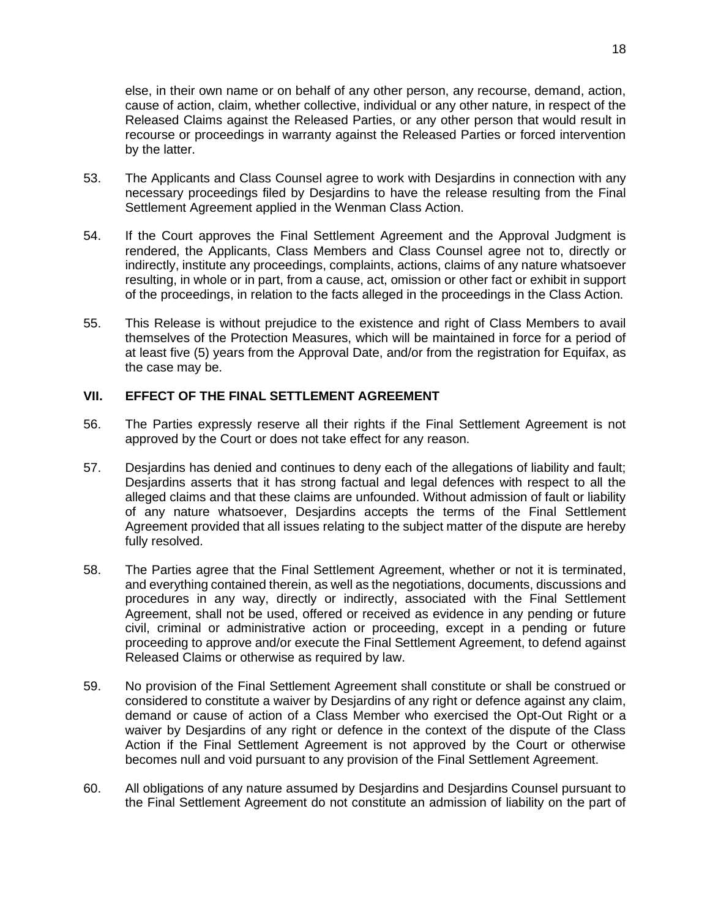else, in their own name or on behalf of any other person, any recourse, demand, action, cause of action, claim, whether collective, individual or any other nature, in respect of the Released Claims against the Released Parties, or any other person that would result in recourse or proceedings in warranty against the Released Parties or forced intervention by the latter.

- 53. The Applicants and Class Counsel agree to work with Desjardins in connection with any necessary proceedings filed by Desjardins to have the release resulting from the Final Settlement Agreement applied in the Wenman Class Action.
- 54. If the Court approves the Final Settlement Agreement and the Approval Judgment is rendered, the Applicants, Class Members and Class Counsel agree not to, directly or indirectly, institute any proceedings, complaints, actions, claims of any nature whatsoever resulting, in whole or in part, from a cause, act, omission or other fact or exhibit in support of the proceedings, in relation to the facts alleged in the proceedings in the Class Action.
- 55. This Release is without prejudice to the existence and right of Class Members to avail themselves of the Protection Measures, which will be maintained in force for a period of at least five (5) years from the Approval Date, and/or from the registration for Equifax, as the case may be.

### **VII. EFFECT OF THE FINAL SETTLEMENT AGREEMENT**

- 56. The Parties expressly reserve all their rights if the Final Settlement Agreement is not approved by the Court or does not take effect for any reason.
- 57. Desjardins has denied and continues to deny each of the allegations of liability and fault; Desjardins asserts that it has strong factual and legal defences with respect to all the alleged claims and that these claims are unfounded. Without admission of fault or liability of any nature whatsoever, Desjardins accepts the terms of the Final Settlement Agreement provided that all issues relating to the subject matter of the dispute are hereby fully resolved.
- 58. The Parties agree that the Final Settlement Agreement, whether or not it is terminated, and everything contained therein, as well as the negotiations, documents, discussions and procedures in any way, directly or indirectly, associated with the Final Settlement Agreement, shall not be used, offered or received as evidence in any pending or future civil, criminal or administrative action or proceeding, except in a pending or future proceeding to approve and/or execute the Final Settlement Agreement, to defend against Released Claims or otherwise as required by law.
- 59. No provision of the Final Settlement Agreement shall constitute or shall be construed or considered to constitute a waiver by Desjardins of any right or defence against any claim, demand or cause of action of a Class Member who exercised the Opt-Out Right or a waiver by Desjardins of any right or defence in the context of the dispute of the Class Action if the Final Settlement Agreement is not approved by the Court or otherwise becomes null and void pursuant to any provision of the Final Settlement Agreement.
- 60. All obligations of any nature assumed by Desjardins and Desjardins Counsel pursuant to the Final Settlement Agreement do not constitute an admission of liability on the part of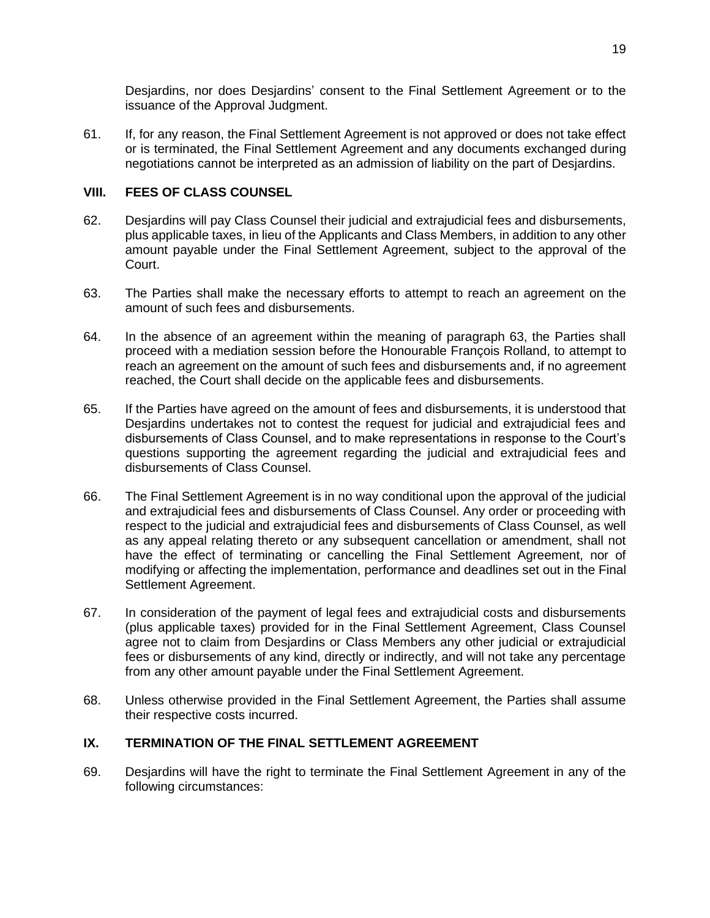Desjardins, nor does Desjardins' consent to the Final Settlement Agreement or to the issuance of the Approval Judgment.

61. If, for any reason, the Final Settlement Agreement is not approved or does not take effect or is terminated, the Final Settlement Agreement and any documents exchanged during negotiations cannot be interpreted as an admission of liability on the part of Desjardins.

## **VIII. FEES OF CLASS COUNSEL**

- 62. Desjardins will pay Class Counsel their judicial and extrajudicial fees and disbursements, plus applicable taxes, in lieu of the Applicants and Class Members, in addition to any other amount payable under the Final Settlement Agreement, subject to the approval of the Court.
- 63. The Parties shall make the necessary efforts to attempt to reach an agreement on the amount of such fees and disbursements.
- 64. In the absence of an agreement within the meaning of paragraph 63, the Parties shall proceed with a mediation session before the Honourable François Rolland, to attempt to reach an agreement on the amount of such fees and disbursements and, if no agreement reached, the Court shall decide on the applicable fees and disbursements.
- 65. If the Parties have agreed on the amount of fees and disbursements, it is understood that Desjardins undertakes not to contest the request for judicial and extrajudicial fees and disbursements of Class Counsel, and to make representations in response to the Court's questions supporting the agreement regarding the judicial and extrajudicial fees and disbursements of Class Counsel.
- 66. The Final Settlement Agreement is in no way conditional upon the approval of the judicial and extrajudicial fees and disbursements of Class Counsel. Any order or proceeding with respect to the judicial and extrajudicial fees and disbursements of Class Counsel, as well as any appeal relating thereto or any subsequent cancellation or amendment, shall not have the effect of terminating or cancelling the Final Settlement Agreement, nor of modifying or affecting the implementation, performance and deadlines set out in the Final Settlement Agreement.
- 67. In consideration of the payment of legal fees and extrajudicial costs and disbursements (plus applicable taxes) provided for in the Final Settlement Agreement, Class Counsel agree not to claim from Desjardins or Class Members any other judicial or extrajudicial fees or disbursements of any kind, directly or indirectly, and will not take any percentage from any other amount payable under the Final Settlement Agreement.
- 68. Unless otherwise provided in the Final Settlement Agreement, the Parties shall assume their respective costs incurred.

## **IX. TERMINATION OF THE FINAL SETTLEMENT AGREEMENT**

69. Desjardins will have the right to terminate the Final Settlement Agreement in any of the following circumstances: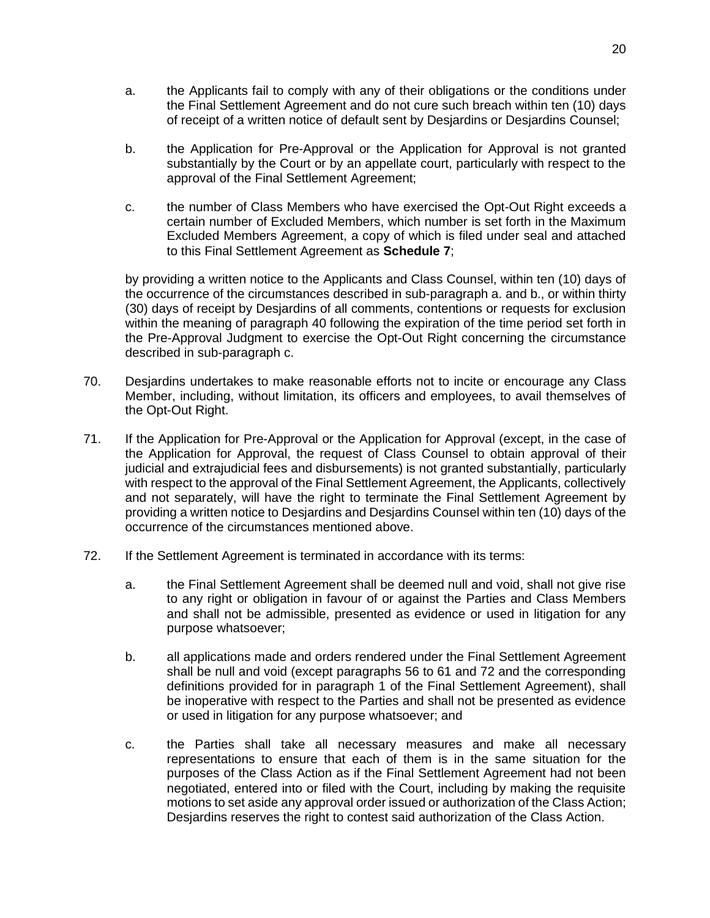- a. the Applicants fail to comply with any of their obligations or the conditions under the Final Settlement Agreement and do not cure such breach within ten (10) days of receipt of a written notice of default sent by Desjardins or Desjardins Counsel;
- b. the Application for Pre-Approval or the Application for Approval is not granted substantially by the Court or by an appellate court, particularly with respect to the approval of the Final Settlement Agreement;
- c. the number of Class Members who have exercised the Opt-Out Right exceeds a certain number of Excluded Members, which number is set forth in the Maximum Excluded Members Agreement, a copy of which is filed under seal and attached to this Final Settlement Agreement as **Schedule 7**;

by providing a written notice to the Applicants and Class Counsel, within ten (10) days of the occurrence of the circumstances described in sub-paragraph a. and b., or within thirty (30) days of receipt by Desjardins of all comments, contentions or requests for exclusion within the meaning of paragraph 40 following the expiration of the time period set forth in the Pre-Approval Judgment to exercise the Opt-Out Right concerning the circumstance described in sub-paragraph c.

- 70. Desjardins undertakes to make reasonable efforts not to incite or encourage any Class Member, including, without limitation, its officers and employees, to avail themselves of the Opt-Out Right.
- 71. If the Application for Pre-Approval or the Application for Approval (except, in the case of the Application for Approval, the request of Class Counsel to obtain approval of their judicial and extrajudicial fees and disbursements) is not granted substantially, particularly with respect to the approval of the Final Settlement Agreement, the Applicants, collectively and not separately, will have the right to terminate the Final Settlement Agreement by providing a written notice to Desjardins and Desjardins Counsel within ten (10) days of the occurrence of the circumstances mentioned above.
- 72. If the Settlement Agreement is terminated in accordance with its terms:
	- a. the Final Settlement Agreement shall be deemed null and void, shall not give rise to any right or obligation in favour of or against the Parties and Class Members and shall not be admissible, presented as evidence or used in litigation for any purpose whatsoever;
	- b. all applications made and orders rendered under the Final Settlement Agreement shall be null and void (except paragraphs 56 to 61 and 72 and the corresponding definitions provided for in paragraph 1 of the Final Settlement Agreement), shall be inoperative with respect to the Parties and shall not be presented as evidence or used in litigation for any purpose whatsoever; and
	- c. the Parties shall take all necessary measures and make all necessary representations to ensure that each of them is in the same situation for the purposes of the Class Action as if the Final Settlement Agreement had not been negotiated, entered into or filed with the Court, including by making the requisite motions to set aside any approval order issued or authorization of the Class Action; Desjardins reserves the right to contest said authorization of the Class Action.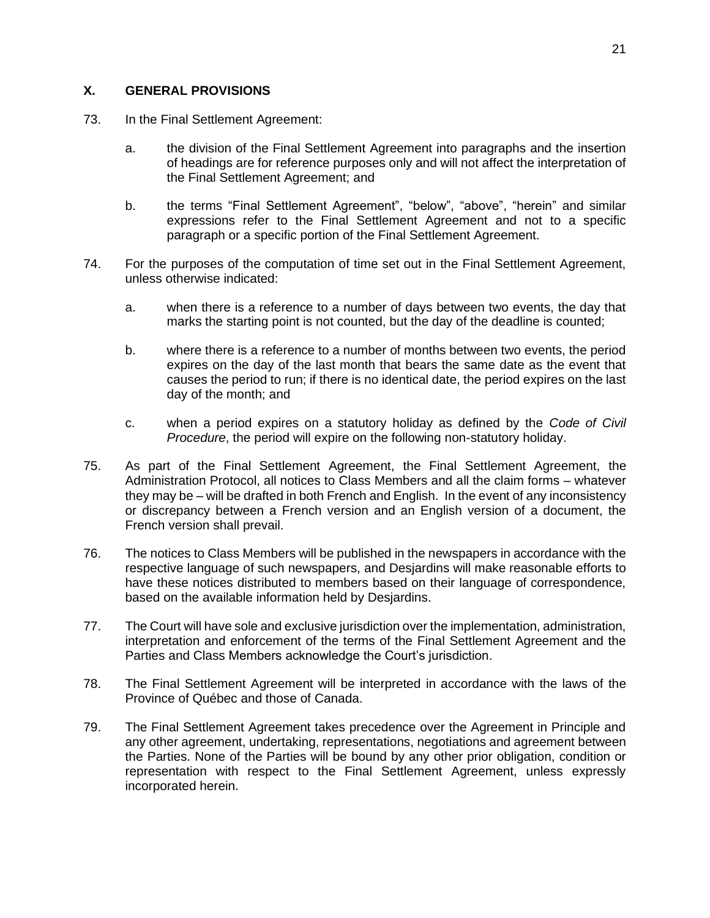### **X. GENERAL PROVISIONS**

- 73. In the Final Settlement Agreement:
	- a. the division of the Final Settlement Agreement into paragraphs and the insertion of headings are for reference purposes only and will not affect the interpretation of the Final Settlement Agreement; and
	- b. the terms "Final Settlement Agreement", "below", "above", "herein" and similar expressions refer to the Final Settlement Agreement and not to a specific paragraph or a specific portion of the Final Settlement Agreement.
- 74. For the purposes of the computation of time set out in the Final Settlement Agreement, unless otherwise indicated:
	- a. when there is a reference to a number of days between two events, the day that marks the starting point is not counted, but the day of the deadline is counted;
	- b. where there is a reference to a number of months between two events, the period expires on the day of the last month that bears the same date as the event that causes the period to run; if there is no identical date, the period expires on the last day of the month; and
	- c. when a period expires on a statutory holiday as defined by the *Code of Civil Procedure*, the period will expire on the following non-statutory holiday.
- 75. As part of the Final Settlement Agreement, the Final Settlement Agreement, the Administration Protocol, all notices to Class Members and all the claim forms - whatever they may be – will be drafted in both French and English. In the event of any inconsistency or discrepancy between a French version and an English version of a document, the French version shall prevail.
- 76. The notices to Class Members will be published in the newspapers in accordance with the respective language of such newspapers, and Desjardins will make reasonable efforts to have these notices distributed to members based on their language of correspondence, based on the available information held by Desjardins.
- 77. The Court will have sole and exclusive jurisdiction over the implementation, administration, interpretation and enforcement of the terms of the Final Settlement Agreement and the Parties and Class Members acknowledge the Court's jurisdiction.
- 78. The Final Settlement Agreement will be interpreted in accordance with the laws of the Province of Québec and those of Canada.
- 79. The Final Settlement Agreement takes precedence over the Agreement in Principle and any other agreement, undertaking, representations, negotiations and agreement between the Parties. None of the Parties will be bound by any other prior obligation, condition or representation with respect to the Final Settlement Agreement, unless expressly incorporated herein.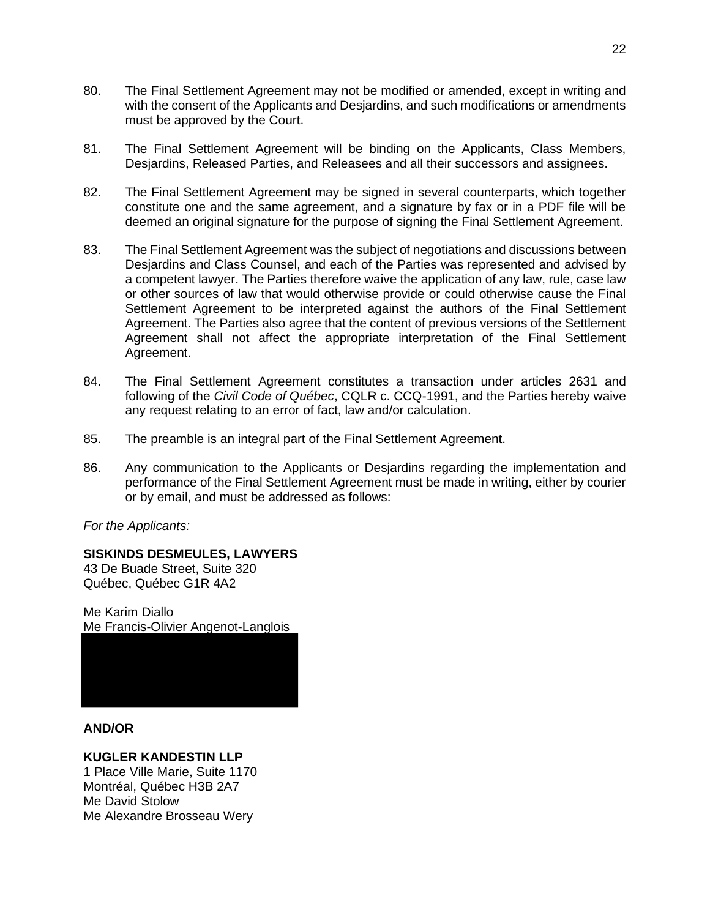- 80. The Final Settlement Agreement may not be modified or amended, except in writing and with the consent of the Applicants and Desjardins, and such modifications or amendments must be approved by the Court.
- 81. The Final Settlement Agreement will be binding on the Applicants, Class Members, Desjardins, Released Parties, and Releasees and all their successors and assignees.
- 82. The Final Settlement Agreement may be signed in several counterparts, which together constitute one and the same agreement, and a signature by fax or in a PDF file will be deemed an original signature for the purpose of signing the Final Settlement Agreement.
- 83. The Final Settlement Agreement was the subject of negotiations and discussions between Desjardins and Class Counsel, and each of the Parties was represented and advised by a competent lawyer. The Parties therefore waive the application of any law, rule, case law or other sources of law that would otherwise provide or could otherwise cause the Final Settlement Agreement to be interpreted against the authors of the Final Settlement Agreement. The Parties also agree that the content of previous versions of the Settlement Agreement shall not affect the appropriate interpretation of the Final Settlement Agreement.
- 84. The Final Settlement Agreement constitutes a transaction under articles 2631 and following of the *Civil Code of Québec*, CQLR c. CCQ-1991, and the Parties hereby waive any request relating to an error of fact, law and/or calculation.
- 85. The preamble is an integral part of the Final Settlement Agreement.
- 86. Any communication to the Applicants or Desjardins regarding the implementation and performance of the Final Settlement Agreement must be made in writing, either by courier or by email, and must be addressed as follows:

*For the Applicants:* 

### **SISKINDS DESMEULES, LAWYERS**

43 De Buade Street, Suite 320 Québec, Québec G1R 4A2

Me Karim Diallo Me Francis-Olivier Angenot-Langlois



### **AND/OR**

### **KUGLER KANDESTIN LLP**

1 Place Ville Marie, Suite 1170 Montréal, Québec H3B 2A7 Me David Stolow Me Alexandre Brosseau Wery